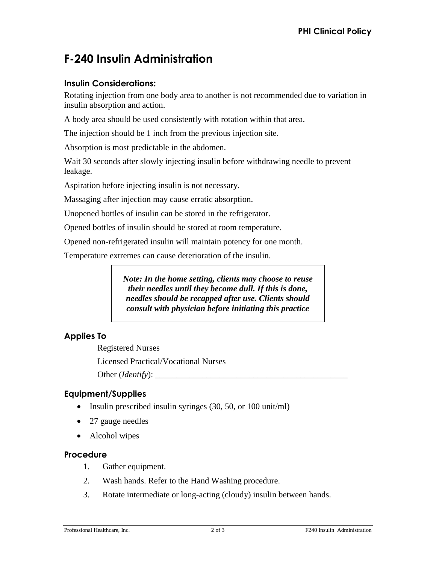# **F-240 Insulin Administration**

## **Insulin Considerations:**

Rotating injection from one body area to another is not recommended due to variation in insulin absorption and action.

A body area should be used consistently with rotation within that area.

The injection should be 1 inch from the previous injection site.

Absorption is most predictable in the abdomen.

Wait 30 seconds after slowly injecting insulin before withdrawing needle to prevent leakage.

Aspiration before injecting insulin is not necessary.

Massaging after injection may cause erratic absorption.

Unopened bottles of insulin can be stored in the refrigerator.

Opened bottles of insulin should be stored at room temperature.

Opened non-refrigerated insulin will maintain potency for one month.

Temperature extremes can cause deterioration of the insulin.

*Note: In the home setting, clients may choose to reuse their needles until they become dull. If this is done, needles should be recapped after use. Clients should consult with physician before initiating this practice* 

# **Applies To**

Registered Nurses Licensed Practical/Vocational Nurses Other (*Identify*):

# **Equipment/Supplies**

- Insulin prescribed insulin syringes  $(30, 50, \text{ or } 100 \text{ unit/ml})$
- 27 gauge needles
- Alcohol wipes

### **Procedure**

- 1. Gather equipment.
- 2. Wash hands. Refer to the Hand Washing procedure.
- 3. Rotate intermediate or long-acting (cloudy) insulin between hands.